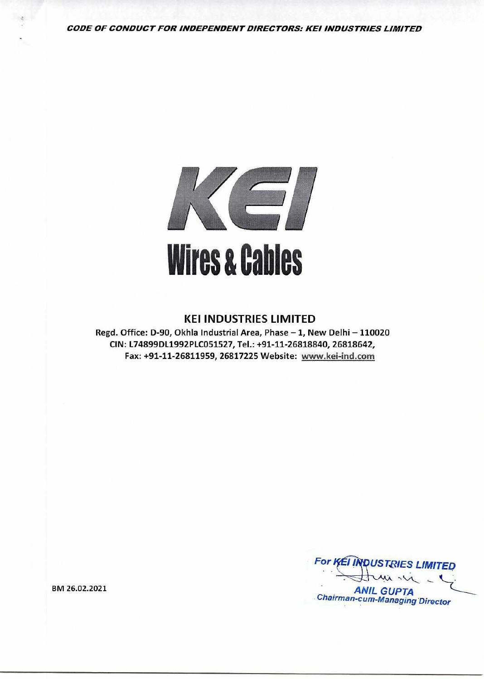

# **KEI INDUSTRIES LIMITED**

Regd. Office: D-90, Okhla Industrial Area, Phase — 1, New Delhi — 110020 CI N: L74899DL1992PLC051527, Tel.: +91-11-26818840, 26818642, Fax: +91-11-26811959, 26817225 Website: **www.kei-ind.com** 

**For KEI INDUSTRIES LIMITED AKA ANIL GUPTA**  Chairman-cum-Managing 'Director

BM 26.02.2021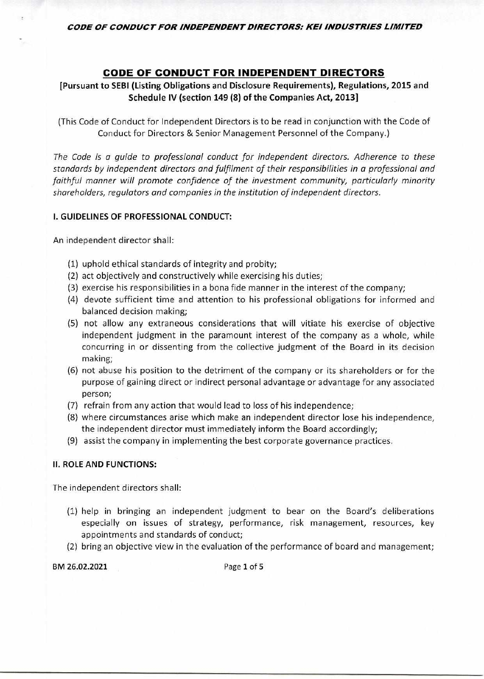# **CODE OF CONDUCT FOR INDEPENDENT DIRECTORS**

# **[Pursuant to SEBI (Listing Obligations and Disclosure Requirements), Regulations, 2015 and Schedule IV (section 149 (8) of the Companies Act, 2013]**

(This Code of Conduct for Independent Directors is to be read in conjunction with the Code of Conduct for Directors & Senior Management Personnel of the Company.)

The Code is a guide to professional conduct for independent directors. Adherence to these standards by independent directors and fulfilment of their responsibilities in a professional and faithful manner will promote confidence of the investment community, particularly minority shareholders, regulators and companies in the institution of independent directors.

### I. **GUIDELINES OF PROFESSIONAL CONDUCT:**

An independent director shall:

- (1) uphold ethical standards of integrity and probity;
- (2) act objectively and constructively while exercising his duties;
- (3) exercise his responsibilities in a bona fide manner in the interest of the company;
- (4) devote sufficient time and attention to his professional obligations for informed and balanced decision making;
- (5) not allow any extraneous considerations that will vitiate his exercise of objective independent judgment in the paramount interest of the company as a whole, while concurring in or dissenting from the collective judgment of the Board in its decision making;
- (6) not abuse his position to the detriment of the company or its shareholders or for the purpose of gaining direct or indirect personal advantage or advantage for any associated person;
- (7) refrain from any action that would lead to loss of his independence;
- (8) where circumstances arise which make an independent director lose his independence, the independent director must immediately inform the Board accordingly;
- (9) assist the company in implementing the best corporate governance practices.

# **II. ROLE AND FUNCTIONS:**

The independent directors shall:

- (1) help in bringing an independent judgment to bear on the Board's deliberations especially on issues of strategy, performance, risk management, resources, key appointments and standards of conduct;
- (2) bring an objective view in the evaluation of the performance of board and management;

**BM 26.02.2021** Page 1 of **5**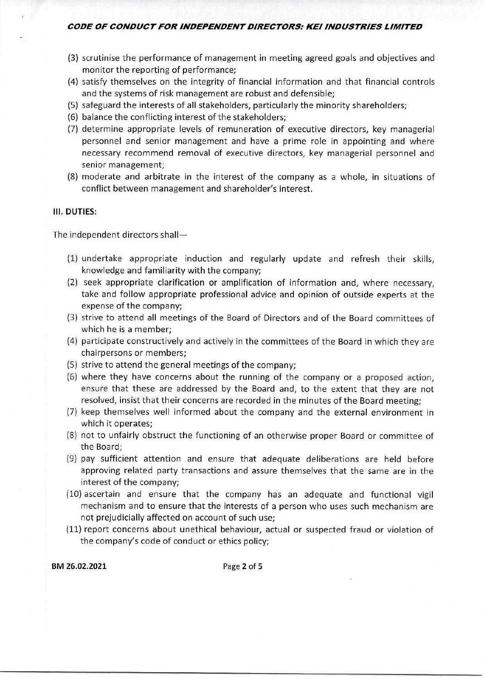- (3) scrutinise the performance of management in meeting agreed goals and objectives and monitor the reporting of performance;
- (4) satisfy themselves on the integrity of financial information and that financial controls and the systems of risk management are robust and defensible;
- (5) safeguard the interests of all stakeholders, particularly the minority shareholders;
- (6) balance the conflicting interest of the stakeholders;
- (7) determine appropriate levels of remuneration of executive directors, key managerial personnel and senior management and have a prime role in appointing and where necessary recommend removal of executive directors, key managerial personnel and senior management;
- (8) moderate and arbitrate in the interest of the company as a whole, in situations of conflict between management and shareholder's interest.

### III. DUTIES:

The independent directors shall—

- (1) undertake appropriate induction and regularly update and refresh their skills, knowledge and familiarity with the company;
- (2) seek appropriate clarification or amplification of information and, where necessary, take and follow appropriate professional advice and opinion of outside experts at the expense of the company;
- (3) strive to attend all meetings of the Board of Directors and of the Board committees of which he is a member;
- (4) participate constructively and actively in the committees of the Board in which they are chairpersons or members;
- (5) strive to attend the general meetings of the company;
- (6) where they have concerns about the running of the company or a proposed action, ensure that these are addressed by the Board and, to the extent that they are not resolved, insist that their concerns are recorded in the minutes of the Board meeting;
- (7) keep themselves well informed about the company and the external environment in which it operates;
- (8) not to unfairly obstruct the functioning of an otherwise proper Board or committee of the Board;
- (9) pay sufficient attention and ensure that adequate deliberations are held before approving related party transactions and assure themselves that the same are in the interest of the company;
- (10) ascertain and ensure that the company has an adequate and functional vigil mechanism and to ensure that the interests of a person who uses such mechanism are not prejudicially affected on account of such use;
- (11) report concerns about unethical behaviour, actual or suspected fraud or violation of the company's code of conduct or ethics policy;

**BM 26.02.2021** Page 2 of 5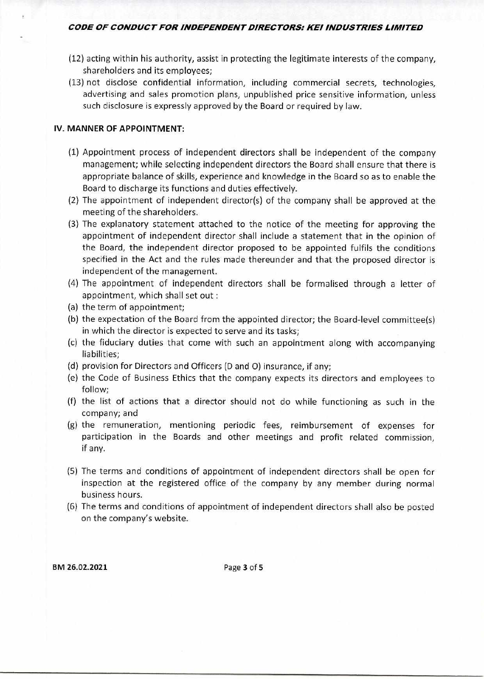## **CODE OF CONDUCT FOR INDEPENDENT DIRECTORS: KEI INDUSTRIES LIMITED**

- (12) acting within his authority, assist in protecting the legitimate interests of the company, shareholders and its employees;
- (13) not disclose confidential information, including commercial secrets, technologies, advertising and sales promotion plans, unpublished price sensitive information, unless such disclosure is expressly approved by the Board or required by law.

## **IV. MANNER OF APPOINTMENT:**

- (1) Appointment process of independent directors shall be independent of the company management; while selecting independent directors the Board shall ensure that there is appropriate balance of skills, experience and knowledge in the Board so as to enable the Board to discharge its functions and duties effectively.
- (2) The appointment of independent director(s) of the company shall be approved at the meeting of the shareholders.
- (3) The explanatory statement attached to the notice of the meeting for approving the appointment of independent director shall include a statement that in the opinion of the Board, the independent director proposed to be appointed fulfils the conditions specified in the Act and the rules made thereunder and that the proposed director is independent of the management.
- (4) The appointment of independent directors shall be formalised through a letter of appointment, which shall set out :
- (a) the term of appointment;
- (b) the expectation of the Board from the appointed director; the Board-level committee(s) in which the director is expected to serve and its tasks;
- (c) the fiduciary duties that come with such an appointment along with accompanying liabilities;
- (d) provision for Directors and Officers (D and 0) insurance, if any;
- (e) the Code of Business Ethics that the company expects its directors and employees to follow;
- (1) the list of actions that a director should not do while functioning as such in the company; and
- (g) the remuneration, mentioning periodic fees, reimbursement of expenses for participation in the Boards and other meetings and profit related commission, if any.
- (5) The terms and conditions of appointment of independent directors shall be open for inspection at the registered office of the company by any member during normal business hours.
- (6) The terms and conditions of appointment of independent directors shall also be posted on the company's website.

**BM 26.02.2021** Page 3 of 5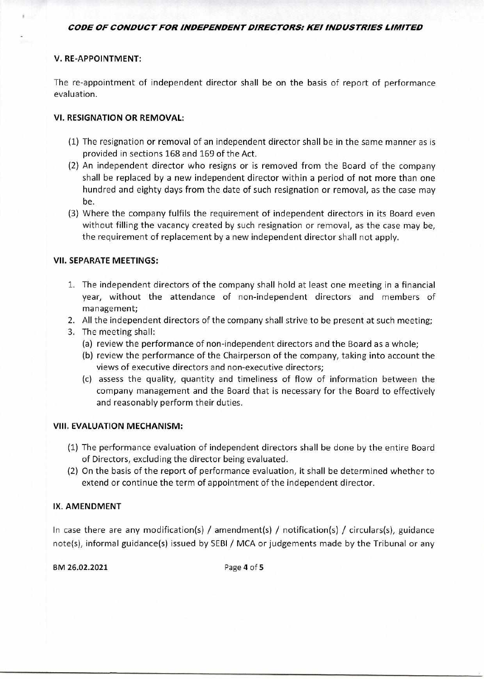# **CODE OF CONDUCT FOR INDEPENDENT DIRECTORS; KEI INDUSTRIES LIMITED**

#### **V. RE-APPOINTMENT:**

The re-appointment of independent director shall be on the basis of report of performance evaluation.

### **VI. RESIGNATION OR REMOVAL:**

- (1) The resignation or removal of an independent director shall be in the same manner as is provided in sections 168 and 169 of the Act.
- (2) An independent director who resigns or is removed from the Board of the company shall be replaced by a new independent director within a period of not more than one hundred and eighty days from the date of such resignation or removal, as the case may be.
- (3) Where the company fulfils the requirement of independent directors in its Board even without filling the vacancy created by such resignation or removal, as the case may be, the requirement of replacement by a new independent director shall not apply.

#### **VII. SEPARATE MEETINGS:**

- 1. The independent directors of the company shall hold at least one meeting in a financial year, without the attendance of non-independent directors and members of management;
- 2. All the independent directors of the company shall strive to be present at such meeting;
- 3. The meeting shall:
	- (a) review the performance of non-independent directors and the Board as a whole;
	- (b) review the performance of the Chairperson of the company, taking into account the views of executive directors and non-executive directors;
	- (c) assess the quality, quantity and timeliness of flow of information between the company management and the Board that is necessary for the Board to effectively and reasonably perform their duties.

#### **VIII. EVALUATION MECHANISM:**

- (1) The performance evaluation of independent directors shall be done by the entire Board of Directors, excluding the director being evaluated.
- (2) On the basis of the report of performance evaluation, it shall be determined whether to extend or continue the term of appointment of the independent director.

### **IX. AMENDMENT**

In case there are any modification(s) / amendment(s) / notification(s) / circulars(s), guidance note(s), informal guidance(s) issued by SEBI / MCA or judgements made by the Tribunal or any

**BM 26.02.2021** Page 4 of 5